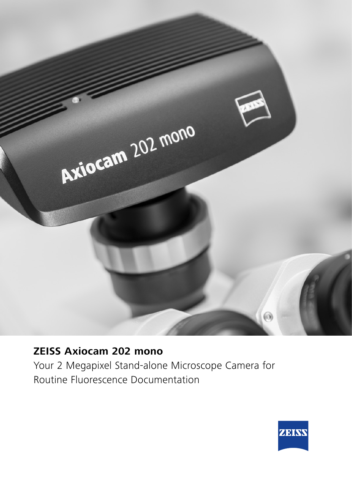

## **ZEISS Axiocam 202 mono** Your 2 Megapixel Stand-alone Microscope Camera for Routine Fluorescence Documentation

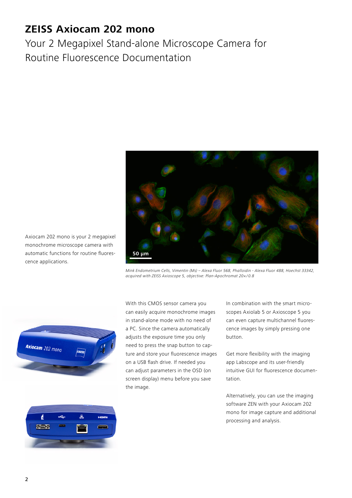## **ZEISS Axiocam 202 mono**

Your 2 Megapixel Stand-alone Microscope Camera for Routine Fluorescence Documentation



*Mink Endometrium Cells, Vimentin (Ms) – Alexa Fluor 568, Phalloidin - Alexa Fluor 488, Hoechst 33342, acquired with ZEISS Axioscope 5, objective: Plan-Apochromat 20*× */ 0.8*



Axiocam 202 mono is your 2 megapixel monochrome microscope camera with automatic functions for routine fluores-

cence applications.

With this CMOS sensor camera you can easily acquire monochrome images in stand-alone mode with no need of a PC. Since the camera automatically adjusts the exposure time you only need to press the snap button to capture and store your fluorescence images on a USB flash drive. If needed you can adjust parameters in the OSD (on screen display) menu before you save the image.

In combination with the smart microscopes Axiolab 5 or Axioscope 5 you can even capture multichannel fluorescence images by simply pressing one button.

Get more flexibility with the imaging app Labscope and its user-friendly intuitive GUI for fluorescence documentation.

Alternatively, you can use the imaging software ZEN with your Axiocam 202 mono for image capture and additional processing and analysis.

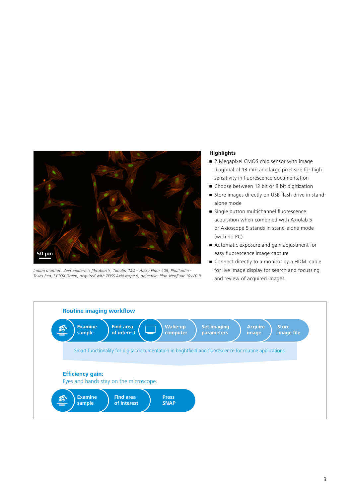

Indian muntiac, deer epidermis fibroblasts, Tubulin (Ms) – Alexa Fluor 405, Phalloidin - Texas Red, SYTOX Green, acquired with ZEISS Axioscope 5, objective: Plan-Neofluar 10× */ 0.3*

## **Highlights**

- 2 Megapixel CMOS chip sensor with image diagonal of 13 mm and large pixel size for high sensitivity in fluorescence documentation
- Choose between 12 bit or 8 bit digitization
- Store images directly on USB flash drive in standalone mode
- Single button multichannel fluorescence acquisition when combined with Axiolab 5 or Axioscope 5 stands in stand-alone mode (with no PC)
- Automatic exposure and gain adjustment for easy fluorescence image capture
- Connect directly to a monitor by a HDMI cable for live image display for search and focussing and review of acquired images